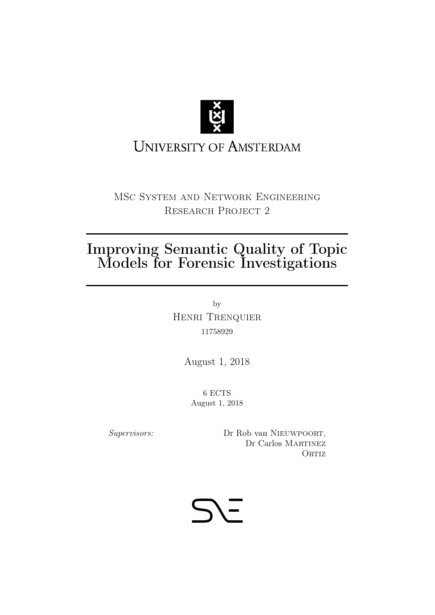

# **UNIVERSITY OF AMSTERDAM**

MSc System and Network Engineering RESEARCH PROJECT 2

# Improving Semantic Quality of Topic Models for Forensic Investigations

by Henri Trenquier 11758929

August 1, 2018

6 ECTS August 1, 2018

Supervisors: Dr Rob van NIEUWPOORT, Dr Carlos MARTINEZ ORTIZ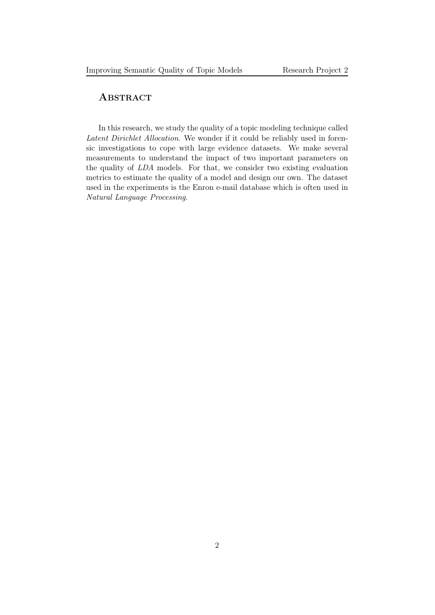### **ABSTRACT**

In this research, we study the quality of a topic modeling technique called Latent Dirichlet Allocation. We wonder if it could be reliably used in forensic investigations to cope with large evidence datasets. We make several measurements to understand the impact of two important parameters on the quality of LDA models. For that, we consider two existing evaluation metrics to estimate the quality of a model and design our own. The dataset used in the experiments is the Enron e-mail database which is often used in Natural Language Processing.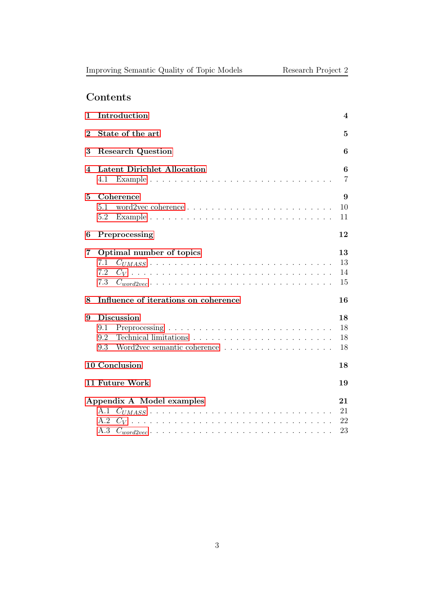## Contents

| 1                    | Introduction                                                    | 4                    |  |
|----------------------|-----------------------------------------------------------------|----------------------|--|
| $\bf{2}$             | State of the art                                                |                      |  |
| 3                    | <b>Research Question</b>                                        | 6                    |  |
| 4                    | <b>Latent Dirichlet Allocation</b><br>4.1                       | 6<br>$\overline{7}$  |  |
| 5                    | Coherence<br>5.1<br>5.2                                         | 9<br>10<br>11        |  |
| 6                    | Preprocessing                                                   | 12                   |  |
| 7                    | Optimal number of topics<br>7.1<br>7.2<br>7.3<br>$C_{word2vec}$ | 13<br>13<br>14<br>15 |  |
| 8                    | Influence of iterations on coherence                            | 16                   |  |
| 9                    | <b>Discussion</b><br>9.1<br>9.2<br>9.3                          | 18<br>18<br>18<br>18 |  |
| 10 Conclusion<br>18  |                                                                 |                      |  |
| 11 Future Work<br>19 |                                                                 |                      |  |
|                      | Appendix A Model examples<br>A.1                                | 21<br>21<br>22<br>23 |  |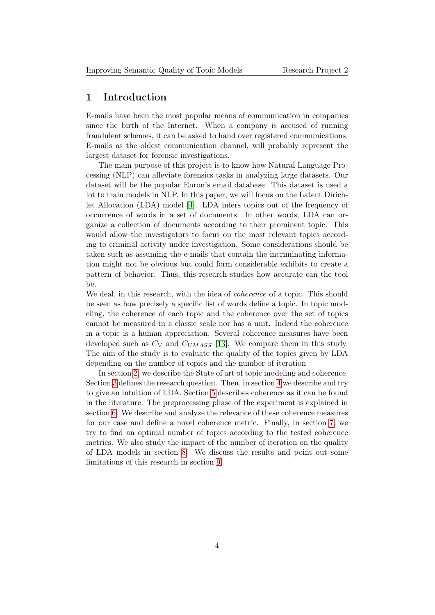#### <span id="page-3-0"></span>1 Introduction

E-mails have been the most popular means of communication in companies since the birth of the Internet. When a company is accused of running fraudulent schemes, it can be asked to hand over registered communications. E-mails as the oldest communication channel, will probably represent the largest dataset for forensic investigations.

The main purpose of this project is to know how Natural Language Processing (NLP) can alleviate forensics tasks in analyzing large datasets. Our dataset will be the popular Enron's email database. This dataset is used a lot to train models in NLP. In this paper, we will focus on the Latent Dirichlet Allocation (LDA) model [\[4\]](#page-18-1). LDA infers topics out of the frequency of occurrence of words in a set of documents. In other words, LDA can organize a collection of documents according to their prominent topic. This would allow the investigators to focus on the most relevant topics according to criminal activity under investigation. Some considerations should be taken such as assuming the e-mails that contain the incriminating information might not be obvious but could form considerable exhibits to create a pattern of behavior. Thus, this research studies how accurate can the tool be.

We deal, in this research, with the idea of *coherence* of a topic. This should be seen as how precisely a specific list of words define a topic. In topic modeling, the coherence of each topic and the coherence over the set of topics cannot be measured in a classic scale nor has a unit. Indeed the coherence in a topic is a human appreciation. Several coherence measures have been developed such as  $C_V$  and  $C_{UMASS}$  [\[13\]](#page-19-0). We compare them in this study. The aim of the study is to evaluate the quality of the topics given by LDA depending on the number of topics and the number of iteration

In section [2,](#page-4-0) we describe the State of art of topic modeling and coherence. Section [3](#page-5-0) defines the research question. Then, in section [4](#page-5-1) we describe and try to give an intuition of LDA. Section [5](#page-8-0) describes coherence as it can be found in the literature. The preprocessing phase of the experiment is explained in section [6.](#page-11-0) We describe and analyze the relevance of these coherence measures for our case and define a novel coherence metric. Finally, in section [7,](#page-12-0) we try to find an optimal number of topics according to the tested coherence metrics. We also study the impact of the number of iteration on the quality of LDA models in section [8.](#page-15-0) We discuss the results and point out some limitations of this research in section [9.](#page-17-0)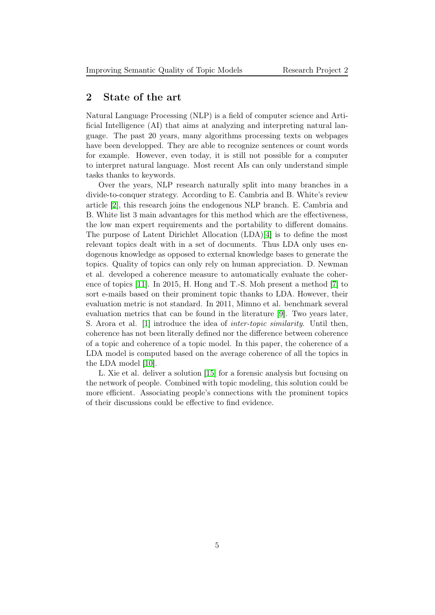#### <span id="page-4-0"></span>2 State of the art

Natural Language Processing (NLP) is a field of computer science and Artificial Intelligence (AI) that aims at analyzing and interpreting natural language. The past 20 years, many algorithms processing texts on webpages have been developped. They are able to recognize sentences or count words for example. However, even today, it is still not possible for a computer to interpret natural language. Most recent AIs can only understand simple tasks thanks to keywords.

Over the years, NLP research naturally split into many branches in a divide-to-conquer strategy. According to E. Cambria and B. White's review article [\[2\]](#page-18-2), this research joins the endogenous NLP branch. E. Cambria and B. White list 3 main advantages for this method which are the effectiveness, the low man expert requirements and the portability to different domains. The purpose of Latent Dirichlet Allocation (LDA)[\[4\]](#page-18-1) is to define the most relevant topics dealt with in a set of documents. Thus LDA only uses endogenous knowledge as opposed to external knowledge bases to generate the topics. Quality of topics can only rely on human appreciation. D. Newman et al. developed a coherence measure to automatically evaluate the coherence of topics [\[11\]](#page-19-1). In 2015, H. Hong and T.-S. Moh present a method [\[7\]](#page-19-2) to sort e-mails based on their prominent topic thanks to LDA. However, their evaluation metric is not standard. In 2011, Mimno et al. benchmark several evaluation metrics that can be found in the literature [\[9\]](#page-19-3). Two years later, S. Arora et al. [\[1\]](#page-18-3) introduce the idea of inter-topic similarity. Until then, coherence has not been literally defined nor the difference between coherence of a topic and coherence of a topic model. In this paper, the coherence of a LDA model is computed based on the average coherence of all the topics in the LDA model [\[10\]](#page-19-4).

L. Xie et al. deliver a solution [\[15\]](#page-19-5) for a forensic analysis but focusing on the network of people. Combined with topic modeling, this solution could be more efficient. Associating people's connections with the prominent topics of their discussions could be effective to find evidence.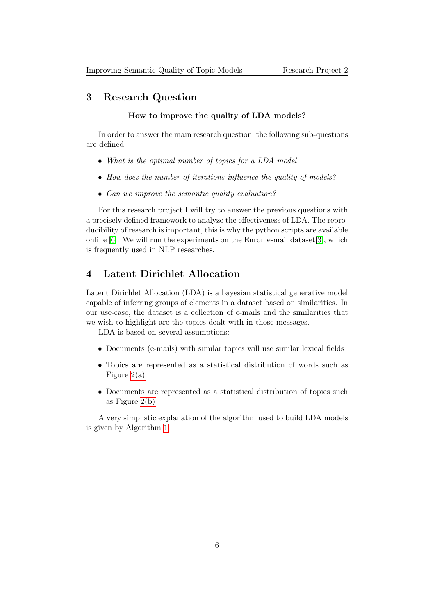#### <span id="page-5-0"></span>3 Research Question

#### How to improve the quality of LDA models?

In order to answer the main research question, the following sub-questions are defined:

- What is the optimal number of topics for a LDA model
- How does the number of iterations influence the quality of models?
- Can we improve the semantic quality evaluation?

For this research project I will try to answer the previous questions with a precisely defined framework to analyze the effectiveness of LDA. The reproducibility of research is important, this is why the python scripts are available online [\[6\]](#page-18-4). We will run the experiments on the Enron e-mail dataset[\[3\]](#page-18-5), which is frequently used in NLP researches.

### <span id="page-5-1"></span>4 Latent Dirichlet Allocation

Latent Dirichlet Allocation (LDA) is a bayesian statistical generative model capable of inferring groups of elements in a dataset based on similarities. In our use-case, the dataset is a collection of e-mails and the similarities that we wish to highlight are the topics dealt with in those messages.

LDA is based on several assumptions:

- Documents (e-mails) with similar topics will use similar lexical fields
- Topics are represented as a statistical distribution of words such as Figure [2\(a\)](#page-8-1)
- Documents are represented as a statistical distribution of topics such as Figure [2\(b\)](#page-8-2)

A very simplistic explanation of the algorithm used to build LDA models is given by Algorithm [1](#page-6-1)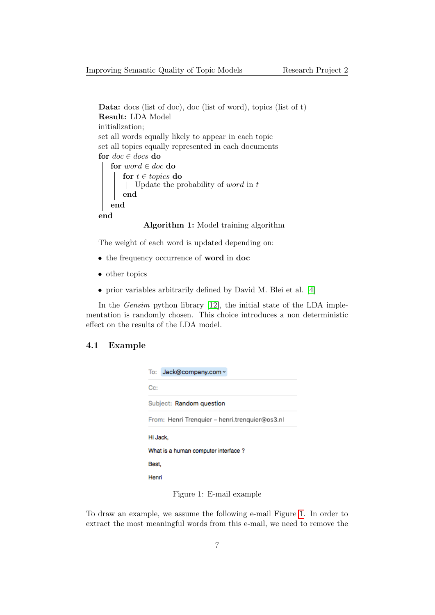```
Data: docs (list of doc), doc (list of word), topics (list of t)
Result: LDA Model
initialization;
set all words equally likely to appear in each topic
set all topics equally represented in each documents
for doc \in docs do
   for word \in doc do
       for t \in topics do
       | Update the probability of word in tend
   end
end
```
Algorithm 1: Model training algorithm

The weight of each word is updated depending on:

- the frequency occurrence of word in doc
- other topics
- prior variables arbitrarily defined by David M. Blei et al. [\[4\]](#page-18-1)

In the Gensim python library [\[12\]](#page-19-6), the initial state of the LDA implementation is randomly chosen. This choice introduces a non deterministic effect on the results of the LDA model.

#### <span id="page-6-0"></span>4.1 Example

| To: Jack@company.com ~                         |  |  |
|------------------------------------------------|--|--|
| $C_{C}$ :                                      |  |  |
| Subject: Random question                       |  |  |
| From: Henri Trenguier - henri.trenguier@os3.nl |  |  |
| Hi Jack.                                       |  |  |
| What is a human computer interface?            |  |  |
| Best.                                          |  |  |
| Henri                                          |  |  |

<span id="page-6-2"></span>Figure 1: E-mail example

To draw an example, we assume the following e-mail Figure [1.](#page-6-2) In order to extract the most meaningful words from this e-mail, we need to remove the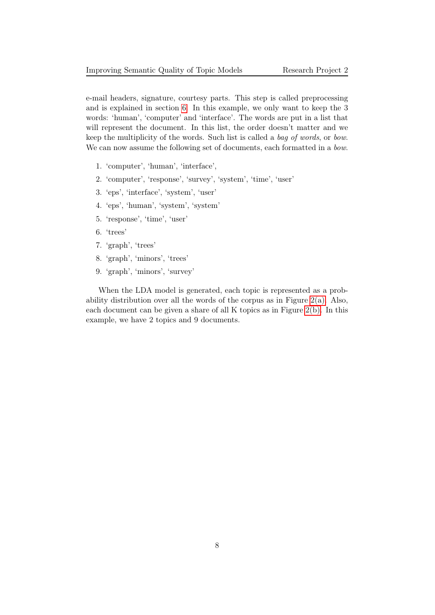e-mail headers, signature, courtesy parts. This step is called preprocessing and is explained in section [6.](#page-11-0) In this example, we only want to keep the 3 words: 'human', 'computer' and 'interface'. The words are put in a list that will represent the document. In this list, the order doesn't matter and we keep the multiplicity of the words. Such list is called a bag of words, or bow. We can now assume the following set of documents, each formatted in a *bow*.

- 1. 'computer', 'human', 'interface',
- 2. 'computer', 'response', 'survey', 'system', 'time', 'user'
- 3. 'eps', 'interface', 'system', 'user'
- 4. 'eps', 'human', 'system', 'system'
- 5. 'response', 'time', 'user'
- 6. 'trees'
- 7. 'graph', 'trees'
- 8. 'graph', 'minors', 'trees'
- 9. 'graph', 'minors', 'survey'

When the LDA model is generated, each topic is represented as a probability distribution over all the words of the corpus as in Figure  $2(a)$ . Also, each document can be given a share of all K topics as in Figure [2\(b\).](#page-8-2) In this example, we have 2 topics and 9 documents.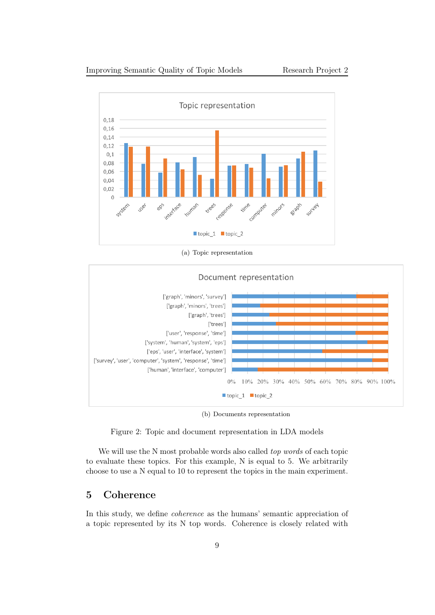<span id="page-8-1"></span>

(a) Topic representation

<span id="page-8-2"></span>

(b) Documents representation

Figure 2: Topic and document representation in LDA models

We will use the N most probable words also called *top words* of each topic to evaluate these topics. For this example, N is equal to 5. We arbitrarily choose to use a N equal to 10 to represent the topics in the main experiment.

### <span id="page-8-0"></span>5 Coherence

In this study, we define coherence as the humans' semantic appreciation of a topic represented by its N top words. Coherence is closely related with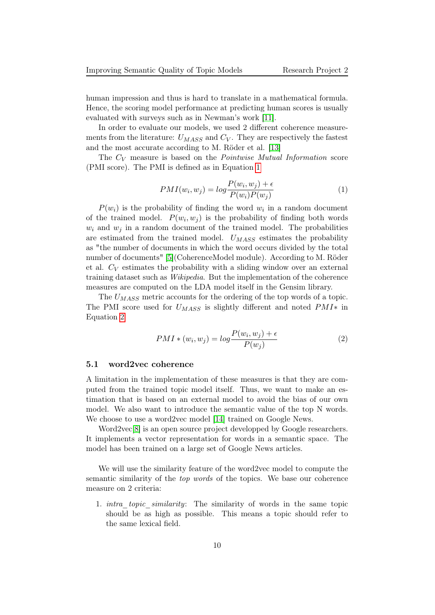human impression and thus is hard to translate in a mathematical formula. Hence, the scoring model performance at predicting human scores is usually evaluated with surveys such as in Newman's work [\[11\]](#page-19-1).

In order to evaluate our models, we used 2 different coherence measurements from the literature:  $U_{MASS}$  and  $C_V$ . They are respectively the fastest and the most accurate according to M. Röder et al. [\[13\]](#page-19-0)

<span id="page-9-1"></span>The  $C_V$  measure is based on the *Pointwise Mutual Information* score (PMI score). The PMI is defined as in Equation [1](#page-9-1)

$$
PMI(w_i, w_j) = log \frac{P(w_i, w_j) + \epsilon}{P(w_i)P(w_j)}
$$
\n
$$
(1)
$$

 $P(w_i)$  is the probability of finding the word  $w_i$  in a random document of the trained model.  $P(w_i, w_j)$  is the probability of finding both words  $w_i$  and  $w_j$  in a random document of the trained model. The probabilities are estimated from the trained model.  $U_{MASS}$  estimates the probability as "the number of documents in which the word occurs divided by the total number of documents" [\[5\]](#page-18-6)(CoherenceModel module). According to M. Röder et al.  $C_V$  estimates the probability with a sliding window over an external training dataset such as Wikipedia. But the implementation of the coherence measures are computed on the LDA model itself in the Gensim library.

<span id="page-9-2"></span>The  $U_{MASS}$  metric accounts for the ordering of the top words of a topic. The PMI score used for  $U_{MASS}$  is slightly different and noted  $PMI*$  in Equation [2](#page-9-2)

$$
PMI * (w_i, w_j) = \log \frac{P(w_i, w_j) + \epsilon}{P(w_j)}
$$
\n<sup>(2)</sup>

#### <span id="page-9-0"></span>5.1 word2vec coherence

A limitation in the implementation of these measures is that they are computed from the trained topic model itself. Thus, we want to make an estimation that is based on an external model to avoid the bias of our own model. We also want to introduce the semantic value of the top N words. We choose to use a word2vec model [\[14\]](#page-19-7) trained on Google News.

Word2vec[\[8\]](#page-19-8) is an open source project developped by Google researchers. It implements a vector representation for words in a semantic space. The model has been trained on a large set of Google News articles.

We will use the similarity feature of the word2vec model to compute the semantic similarity of the *top words* of the topics. We base our coherence measure on 2 criteria:

1. *intra topic similarity*: The similarity of words in the same topic should be as high as possible. This means a topic should refer to the same lexical field.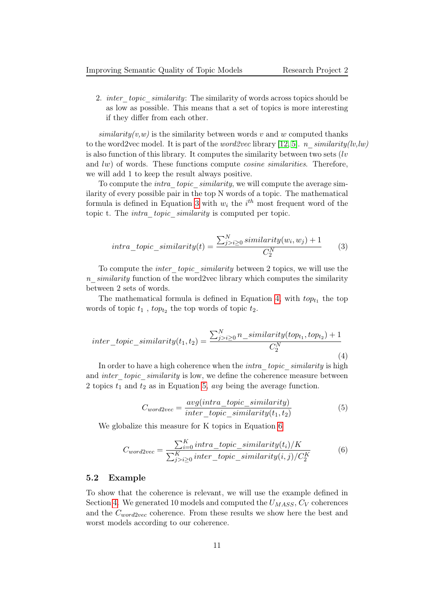2. *inter* topic similarity: The similarity of words across topics should be as low as possible. This means that a set of topics is more interesting if they differ from each other.

 $similarity(v, w)$  is the similarity between words v and w computed thanks to the word2vec model. It is part of the *word2vec* library [\[12,](#page-19-6) [5\]](#page-18-6). *n\_similarity(lv,lw)* is also function of this library. It computes the similarity between two sets  $(lv)$ and lw) of words. These functions compute cosine similarities. Therefore, we will add 1 to keep the result always positive.

To compute the *intra* topic similarity, we will compute the average similarity of every possible pair in the top N words of a topic. The mathematical formula is defined in Equation [3](#page-10-1) with  $w_i$  the  $i^{th}$  most frequent word of the topic t. The *intra* topic similarity is computed per topic.

<span id="page-10-1"></span>
$$
intra\_topic\_similarity(t) = \frac{\sum_{j>i \ge 0}^{N} similarity(w_i, w_j) + 1}{C_2^N}
$$
 (3)

To compute the *inter* topic similarity between 2 topics, we will use the n  $similarity$  function of the word2vec library which computes the similarity between 2 sets of words.

The mathematical formula is defined in Equation [4,](#page-10-2) with  $top_{t_1}$  the top words of topic  $t_1$ ,  $top_{t_2}$  the top words of topic  $t_2$ .

<span id="page-10-2"></span>
$$
inter\_topic\_similarity(t_1, t_2) = \frac{\sum_{j>i\geq 0}^{N} n\_similarity(top_{t_1}, top_{t_2}) + 1}{C_2^N}
$$
\n(4)

<span id="page-10-3"></span>In order to have a high coherence when the *intra* topic similarity is high and *inter* topic similarity is low, we define the coherence measure between 2 topics  $t_1$  and  $t_2$  as in Equation [5,](#page-10-3) avg being the average function.

$$
C_{word2vec} = \frac{avg(intra\_topic\_similarity)}{inter\_topic\_similarity(t_1, t_2)}
$$
(5)

<span id="page-10-4"></span>We globalize this measure for K topics in Equation [6](#page-10-4)

$$
C_{word2vec} = \frac{\sum_{i=0}^{K} intra\_topic\_similarity(t_i)/K}{\sum_{j>i\geq 0}^{K}inter\_topic\_similarity(i,j)/C_2^K}
$$
(6)

#### <span id="page-10-0"></span>5.2 Example

To show that the coherence is relevant, we will use the example defined in Section [4.](#page-5-1) We generated 10 models and computed the  $U_{MASS}$ ,  $C_V$  coherences and the  $C_{word2vec}$  coherence. From these results we show here the best and worst models according to our coherence.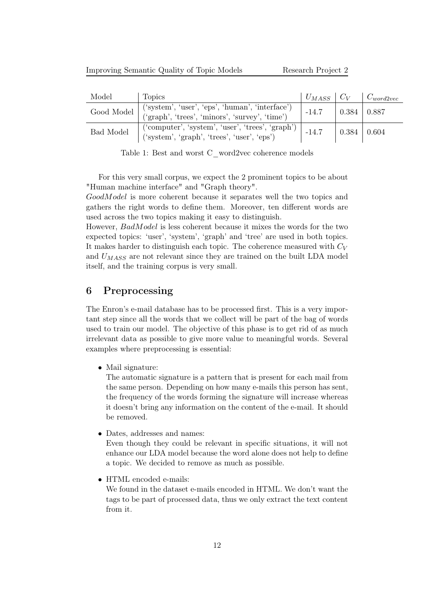| Model            | Topics                                                                                                    | $U_{MASS}$   $C_V$ |                   | $\perp C_{word2vec}$ |
|------------------|-----------------------------------------------------------------------------------------------------------|--------------------|-------------------|----------------------|
| Good Model       | ('system', 'user', 'eps', 'human', 'interface')<br>$({\rm 'graph', 'trees', 'minors', 'survey', 'time'})$ | $-14.7$            | $0.384 \pm 0.887$ |                      |
| <b>Bad Model</b> | $('computer', 'system', 'user', 'trees', 'graph')$<br>('system', 'graph', 'trees', 'user', 'eps')         | $-14.7$            | $^{+}$ 0.384 +    | $\vert$ 0.604        |

Table 1: Best and worst C\_word2vec coherence models

For this very small corpus, we expect the 2 prominent topics to be about "Human machine interface" and "Graph theory".

GoodModel is more coherent because it separates well the two topics and gathers the right words to define them. Moreover, ten different words are used across the two topics making it easy to distinguish.

However, BadModel is less coherent because it mixes the words for the two expected topics: 'user', 'system', 'graph' and 'tree' are used in both topics. It makes harder to distinguish each topic. The coherence measured with  $C_V$ and  $U_{MASS}$  are not relevant since they are trained on the built LDA model itself, and the training corpus is very small.

#### <span id="page-11-0"></span>6 Preprocessing

The Enron's e-mail database has to be processed first. This is a very important step since all the words that we collect will be part of the bag of words used to train our model. The objective of this phase is to get rid of as much irrelevant data as possible to give more value to meaningful words. Several examples where preprocessing is essential:

• Mail signature:

The automatic signature is a pattern that is present for each mail from the same person. Depending on how many e-mails this person has sent, the frequency of the words forming the signature will increase whereas it doesn't bring any information on the content of the e-mail. It should be removed.

• Dates, addresses and names:

Even though they could be relevant in specific situations, it will not enhance our LDA model because the word alone does not help to define a topic. We decided to remove as much as possible.

• HTML encoded e-mails:

We found in the dataset e-mails encoded in HTML. We don't want the tags to be part of processed data, thus we only extract the text content from it.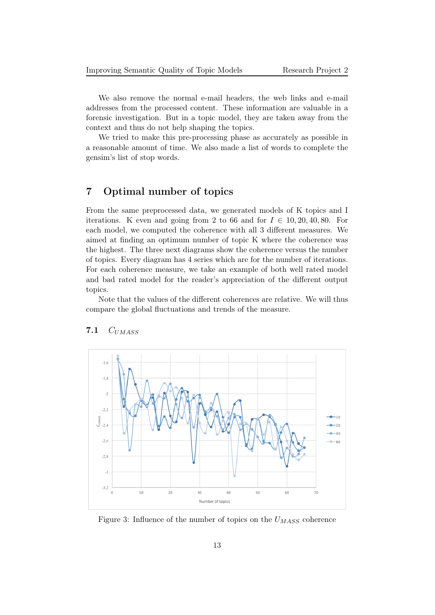We also remove the normal e-mail headers, the web links and e-mail addresses from the processed content. These information are valuable in a forensic investigation. But in a topic model, they are taken away from the context and thus do not help shaping the topics.

We tried to make this pre-processing phase as accurately as possible in a reasonable amount of time. We also made a list of words to complete the gensim's list of stop words.

### <span id="page-12-0"></span>7 Optimal number of topics

From the same preprocessed data, we generated models of K topics and I iterations. K even and going from 2 to 66 and for  $I \in 10, 20, 40, 80$ . For each model, we computed the coherence with all 3 different measures. We aimed at finding an optimum number of topic K where the coherence was the highest. The three next diagrams show the coherence versus the number of topics. Every diagram has 4 series which are for the number of iterations. For each coherence measure, we take an example of both well rated model and bad rated model for the reader's appreciation of the different output topics.

Note that the values of the different coherences are relative. We will thus compare the global fluctuations and trends of the measure.



#### <span id="page-12-1"></span>7.1  $C_{UMASS}$

Figure 3: Influence of the number of topics on the  $U_{MASS}$  coherence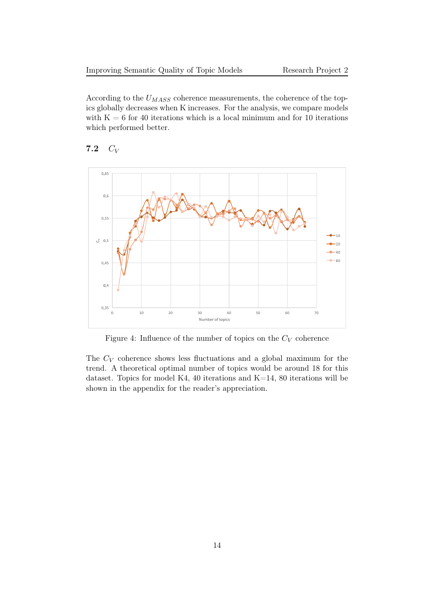According to the  $U_{MASS}$  coherence measurements, the coherence of the topics globally decreases when K increases. For the analysis, we compare models with  $K = 6$  for 40 iterations which is a local minimum and for 10 iterations which performed better.



#### <span id="page-13-0"></span>7.2  $C_V$

Figure 4: Influence of the number of topics on the  $C_V$  coherence

The  $C_V$  coherence shows less fluctuations and a global maximum for the trend. A theoretical optimal number of topics would be around 18 for this dataset. Topics for model K4, 40 iterations and K=14, 80 iterations will be shown in the appendix for the reader's appreciation.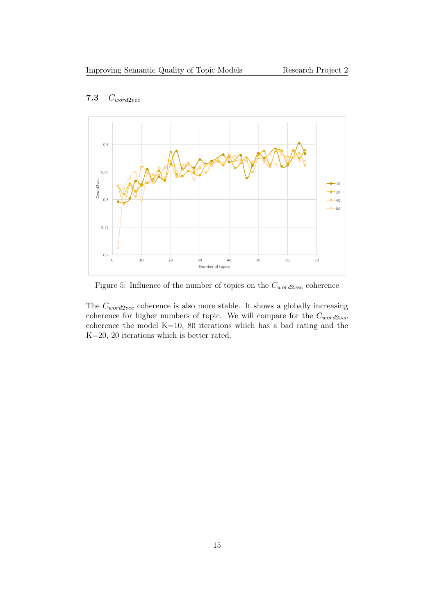

### <span id="page-14-0"></span>7.3 Cword2vec

Figure 5: Influence of the number of topics on the  $C_{word2vec}$  coherence

The  $C_{word2vec}$  coherence is also more stable. It shows a globally increasing coherence for higher numbers of topic. We will compare for the  $C_{word2vec}$ coherence the model K=10, 80 iterations which has a bad rating and the K=20, 20 iterations which is better rated.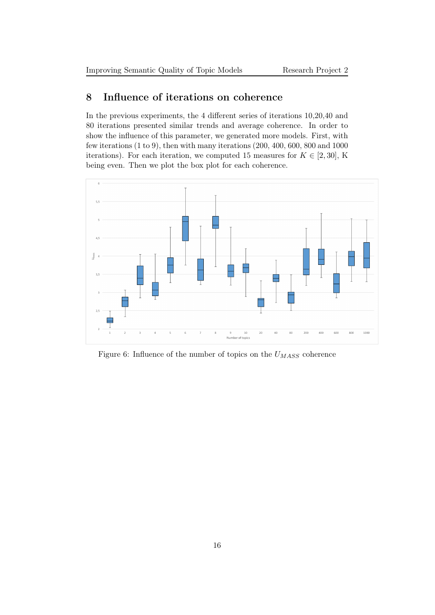### <span id="page-15-0"></span>8 Influence of iterations on coherence

In the previous experiments, the 4 different series of iterations 10,20,40 and 80 iterations presented similar trends and average coherence. In order to show the influence of this parameter, we generated more models. First, with few iterations (1 to 9), then with many iterations (200, 400, 600, 800 and 1000 iterations). For each iteration, we computed 15 measures for  $K \in [2, 30]$ , K being even. Then we plot the box plot for each coherence.



<span id="page-15-1"></span>Figure 6: Influence of the number of topics on the  $U_{MASS}$  coherence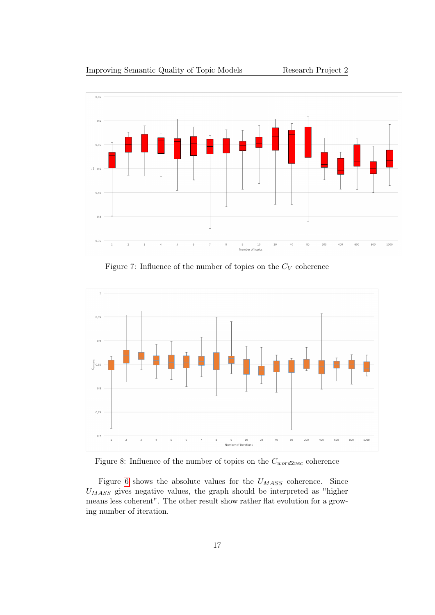



Figure 7: Influence of the number of topics on the  $C_V$  coherence



Figure 8: Influence of the number of topics on the  $C_{word2vec}$  coherence

Figure [6](#page-15-1) shows the absolute values for the  $U_{MASS}$  coherence. Since  $U_{MASS}$  gives negative values, the graph should be interpreted as "higher means less coherent". The other result show rather flat evolution for a growing number of iteration.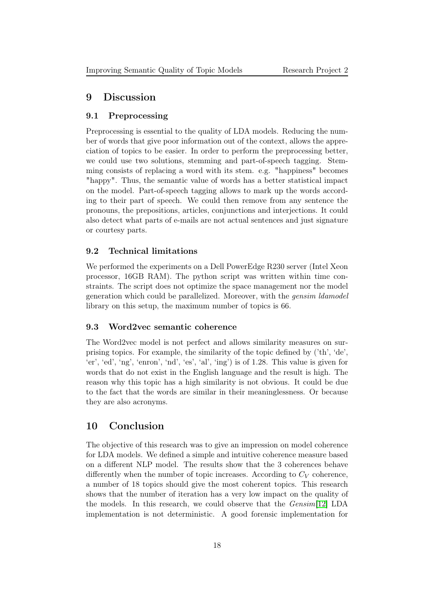#### <span id="page-17-0"></span>9 Discussion

#### <span id="page-17-1"></span>9.1 Preprocessing

Preprocessing is essential to the quality of LDA models. Reducing the number of words that give poor information out of the context, allows the appreciation of topics to be easier. In order to perform the preprocessing better, we could use two solutions, stemming and part-of-speech tagging. Stemming consists of replacing a word with its stem. e.g. "happiness" becomes "happy". Thus, the semantic value of words has a better statistical impact on the model. Part-of-speech tagging allows to mark up the words according to their part of speech. We could then remove from any sentence the pronouns, the prepositions, articles, conjunctions and interjections. It could also detect what parts of e-mails are not actual sentences and just signature or courtesy parts.

#### <span id="page-17-2"></span>9.2 Technical limitations

We performed the experiments on a Dell PowerEdge R230 server (Intel Xeon processor, 16GB RAM). The python script was written within time constraints. The script does not optimize the space management nor the model generation which could be parallelized. Moreover, with the gensim ldamodel library on this setup, the maximum number of topics is 66.

#### <span id="page-17-3"></span>9.3 Word2vec semantic coherence

The Word2vec model is not perfect and allows similarity measures on surprising topics. For example, the similarity of the topic defined by ('th', 'de', 'er', 'ed', 'ng', 'enron', 'nd', 'es', 'al', 'ing') is of 1.28. This value is given for words that do not exist in the English language and the result is high. The reason why this topic has a high similarity is not obvious. It could be due to the fact that the words are similar in their meaninglessness. Or because they are also acronyms.

#### <span id="page-17-4"></span>10 Conclusion

The objective of this research was to give an impression on model coherence for LDA models. We defined a simple and intuitive coherence measure based on a different NLP model. The results show that the 3 coherences behave differently when the number of topic increases. According to  $C_V$  coherence, a number of 18 topics should give the most coherent topics. This research shows that the number of iteration has a very low impact on the quality of the models. In this research, we could observe that the Gensim[\[12\]](#page-19-6) LDA implementation is not deterministic. A good forensic implementation for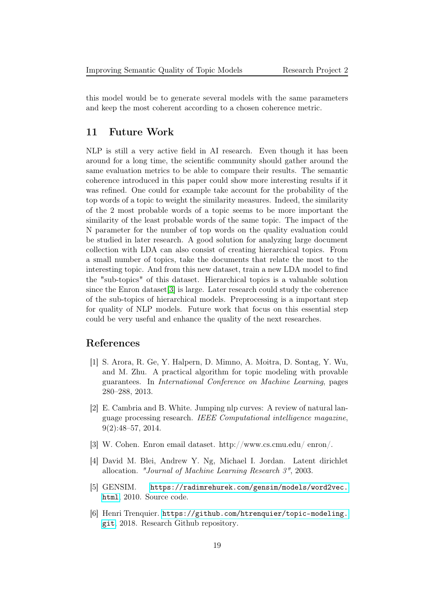this model would be to generate several models with the same parameters and keep the most coherent according to a chosen coherence metric.

### <span id="page-18-0"></span>11 Future Work

NLP is still a very active field in AI research. Even though it has been around for a long time, the scientific community should gather around the same evaluation metrics to be able to compare their results. The semantic coherence introduced in this paper could show more interesting results if it was refined. One could for example take account for the probability of the top words of a topic to weight the similarity measures. Indeed, the similarity of the 2 most probable words of a topic seems to be more important the similarity of the least probable words of the same topic. The impact of the N parameter for the number of top words on the quality evaluation could be studied in later research. A good solution for analyzing large document collection with LDA can also consist of creating hierarchical topics. From a small number of topics, take the documents that relate the most to the interesting topic. And from this new dataset, train a new LDA model to find the "sub-topics" of this dataset. Hierarchical topics is a valuable solution since the Enron dataset[\[3\]](#page-18-5) is large. Later research could study the coherence of the sub-topics of hierarchical models. Preprocessing is a important step for quality of NLP models. Future work that focus on this essential step could be very useful and enhance the quality of the next researches.

### References

- <span id="page-18-3"></span>[1] S. Arora, R. Ge, Y. Halpern, D. Mimno, A. Moitra, D. Sontag, Y. Wu, and M. Zhu. A practical algorithm for topic modeling with provable guarantees. In International Conference on Machine Learning, pages 280–288, 2013.
- <span id="page-18-2"></span>[2] E. Cambria and B. White. Jumping nlp curves: A review of natural language processing research. IEEE Computational intelligence magazine, 9(2):48–57, 2014.
- <span id="page-18-5"></span>[3] W. Cohen. Enron email dataset. http://www.cs.cmu.edu/ enron/.
- <span id="page-18-1"></span>[4] David M. Blei, Andrew Y. Ng, Michael I. Jordan. Latent dirichlet allocation. "Journal of Machine Learning Research 3", 2003.
- <span id="page-18-6"></span>[5] GENSIM. [https://radimrehurek.com/gensim/models/word2vec.](https://radimrehurek.com/gensim/models/word2vec.html) [html](https://radimrehurek.com/gensim/models/word2vec.html), 2010. Source code.
- <span id="page-18-4"></span>[6] Henri Trenquier. [https://github.com/htrenquier/topic-modeling.](https://github.com/htrenquier/topic-modeling.git) [git](https://github.com/htrenquier/topic-modeling.git), 2018. Research Github repository.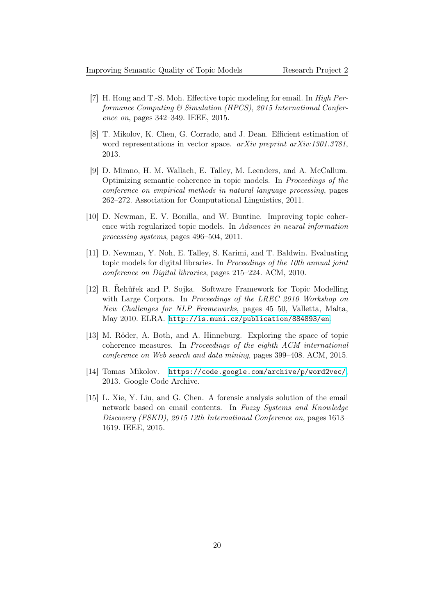- <span id="page-19-2"></span>[7] H. Hong and T.-S. Moh. Effective topic modeling for email. In High Performance Computing & Simulation (HPCS), 2015 International Conference on, pages 342–349. IEEE, 2015.
- <span id="page-19-8"></span>[8] T. Mikolov, K. Chen, G. Corrado, and J. Dean. Efficient estimation of word representations in vector space. arXiv preprint arXiv:1301.3781, 2013.
- <span id="page-19-3"></span>[9] D. Mimno, H. M. Wallach, E. Talley, M. Leenders, and A. McCallum. Optimizing semantic coherence in topic models. In Proceedings of the conference on empirical methods in natural language processing, pages 262–272. Association for Computational Linguistics, 2011.
- <span id="page-19-4"></span>[10] D. Newman, E. V. Bonilla, and W. Buntine. Improving topic coherence with regularized topic models. In Advances in neural information processing systems, pages 496–504, 2011.
- <span id="page-19-1"></span>[11] D. Newman, Y. Noh, E. Talley, S. Karimi, and T. Baldwin. Evaluating topic models for digital libraries. In Proceedings of the 10th annual joint conference on Digital libraries, pages 215–224. ACM, 2010.
- <span id="page-19-6"></span>[12] R. Řehůřek and P. Sojka. Software Framework for Topic Modelling with Large Corpora. In Proceedings of the LREC 2010 Workshop on New Challenges for NLP Frameworks, pages 45–50, Valletta, Malta, May 2010. ELRA. <http://is.muni.cz/publication/884893/en>.
- <span id="page-19-0"></span>[13] M. Röder, A. Both, and A. Hinneburg. Exploring the space of topic coherence measures. In Proceedings of the eighth ACM international conference on Web search and data mining, pages 399–408. ACM, 2015.
- <span id="page-19-7"></span>[14] Tomas Mikolov. [https://code.google.com/archive/p/word2vec/]( https://code.google.com/archive/p/word2vec/), 2013. Google Code Archive.
- <span id="page-19-5"></span>[15] L. Xie, Y. Liu, and G. Chen. A forensic analysis solution of the email network based on email contents. In Fuzzy Systems and Knowledge Discovery (FSKD), 2015 12th International Conference on, pages 1613– 1619. IEEE, 2015.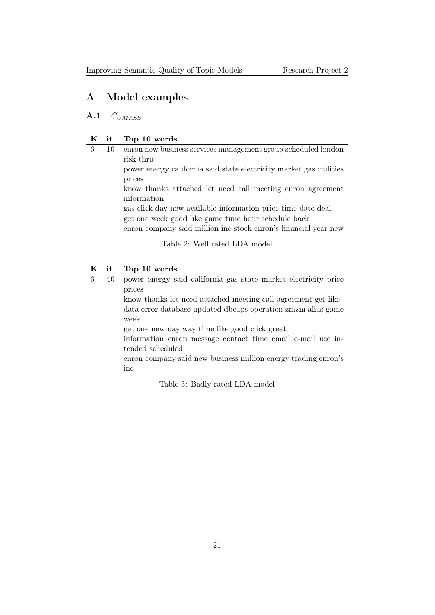## <span id="page-20-0"></span>A Model examples

### <span id="page-20-1"></span> $A.1$   $C_{UMASS}$

# $K$  it Top 10 words

| 6 | 10 | enron new business services management group scheduled london       |
|---|----|---------------------------------------------------------------------|
|   |    | risk thru                                                           |
|   |    | power energy california said state electricity market gas utilities |
|   |    | prices                                                              |
|   |    | know thanks attached let need call meeting enron agreement          |
|   |    | information                                                         |
|   |    | gas click day new available information price time date deal        |
|   |    | get one week good like game time hour schedule back                 |
|   |    | enron company said million inc stock enron's financial year new     |
|   |    |                                                                     |

Table 2: Well rated LDA model

| K | it | Top 10 words                                                    |
|---|----|-----------------------------------------------------------------|
| 6 | 40 | power energy said california gas state market electricity price |
|   |    | prices                                                          |
|   |    | know thanks let need attached meeting call agreement get like   |
|   |    | data error database updated db aps operation zm zm alias game   |
|   |    | week                                                            |
|   |    | get one new day way time like good click great                  |
|   |    | information enron message contact time email e-mail use in-     |
|   |    | tended scheduled                                                |
|   |    | enron company said new business million energy trading enron's  |
|   |    | $_{\rm inc}$                                                    |

Table 3: Badly rated LDA model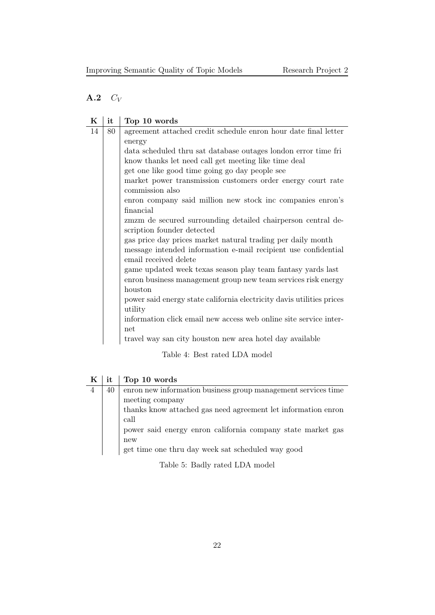## <span id="page-21-0"></span> $A.2$   $C_V$

| K  | it | Top 10 words                                                                            |
|----|----|-----------------------------------------------------------------------------------------|
| 14 | 80 | agreement attached credit schedule enron hour date final letter                         |
|    |    | energy                                                                                  |
|    |    | data scheduled thru sat database outages london error time fri                          |
|    |    | know thanks let need call get meeting like time deal                                    |
|    |    | get one like good time going go day people see                                          |
|    |    | market power transmission customers order energy court rate                             |
|    |    | commission also                                                                         |
|    |    | enron company said million new stock inc companies enron's                              |
|    |    | financial                                                                               |
|    |    | zmzm de secured surrounding detailed chairperson central de-                            |
|    |    | scription founder detected                                                              |
|    |    | gas price day prices market natural trading per daily month                             |
|    |    | message intended information e-mail recipient use confidential<br>email received delete |
|    |    | game updated week texas season play team fantasy yards last                             |
|    |    | enron business management group new team services risk energy                           |
|    |    | houston                                                                                 |
|    |    | power said energy state california electricity davis utilities prices                   |
|    |    | utility                                                                                 |
|    |    | information click email new access web online site service inter-                       |
|    |    | net                                                                                     |
|    |    | travel way san city houston new area hotel day available                                |
|    |    |                                                                                         |

Table 4: Best rated LDA model

| K | it | Top 10 words                                                  |
|---|----|---------------------------------------------------------------|
|   | 40 | enron new information business group management services time |
|   |    | meeting company                                               |
|   |    | thanks know attached gas need agreement let information enron |
|   |    | call                                                          |
|   |    | power said energy enron california company state market gas   |
|   |    | new                                                           |
|   |    | get time one thru day week sat scheduled way good             |

Table 5: Badly rated LDA model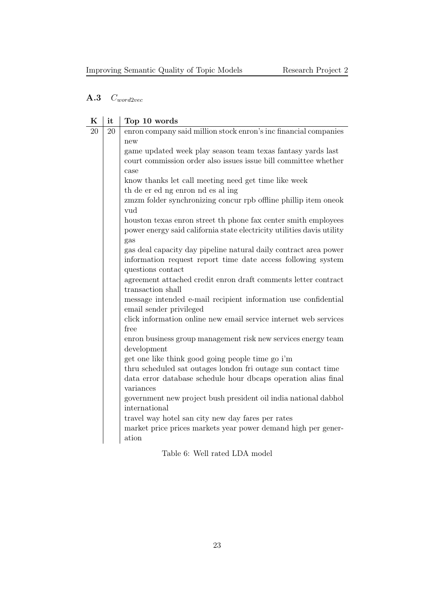## <span id="page-22-0"></span>A.3 Cword2vec

| K  | it | Top 10 words                                                                              |
|----|----|-------------------------------------------------------------------------------------------|
| 20 | 20 | enron company said million stock enron's inc financial companies                          |
|    |    | new                                                                                       |
|    |    | game updated week play season team texas fantasy yards last                               |
|    |    | court commission order also issues issue bill committee whether                           |
|    |    | case                                                                                      |
|    |    | know thanks let call meeting need get time like week                                      |
|    |    | th de er ed ng enron nd es al ing                                                         |
|    |    | zmzm folder synchronizing concur rpb offline phillip item oneok<br>vud                    |
|    |    | houston texas enron street th phone fax center smith employees                            |
|    |    | power energy said california state electricity utilities davis utility<br>gas             |
|    |    | gas deal capacity day pipeline natural daily contract area power                          |
|    |    | information request report time date access following system                              |
|    |    | questions contact                                                                         |
|    |    | agreement attached credit enron draft comments letter contract                            |
|    |    | transaction shall                                                                         |
|    |    | message intended e-mail recipient information use confidential<br>email sender privileged |
|    |    | click information online new email service internet web services                          |
|    |    | free                                                                                      |
|    |    | enron business group management risk new services energy team                             |
|    |    | development                                                                               |
|    |    | get one like think good going people time go i'm                                          |
|    |    | thru scheduled sat outages london fri outage sun contact time                             |
|    |    | data error database schedule hour dbcaps operation alias final                            |
|    |    | variances<br>government new project bush president oil india national dabhol              |
|    |    | international                                                                             |
|    |    | travel way hotel san city new day fares per rates                                         |
|    |    | market price prices markets year power demand high per gener-                             |
|    |    | ation                                                                                     |
|    |    | Table 6: Well rated LDA model                                                             |